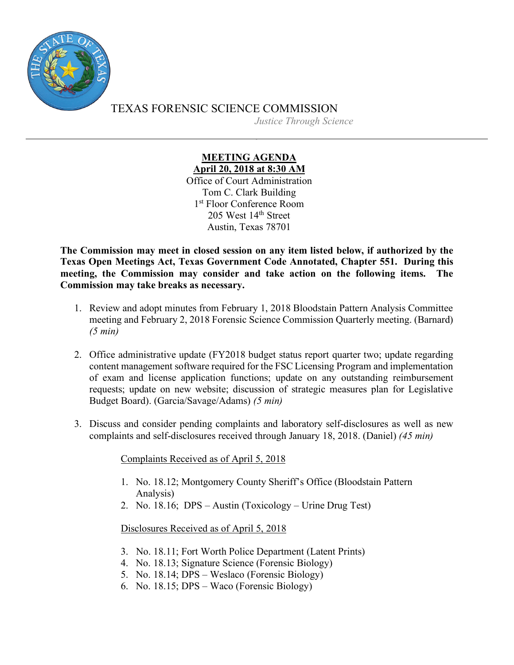

TEXAS FORENSIC SCIENCE COMMISSION *Justice Through Science*

## **MEETING AGENDA April 20, 2018 at 8:30 AM**

Office of Court Administration Tom C. Clark Building 1st Floor Conference Room 205 West 14<sup>th</sup> Street Austin, Texas 78701

**The Commission may meet in closed session on any item listed below, if authorized by the Texas Open Meetings Act, Texas Government Code Annotated, Chapter 551. During this meeting, the Commission may consider and take action on the following items. The Commission may take breaks as necessary.**

- 1. Review and adopt minutes from February 1, 2018 Bloodstain Pattern Analysis Committee meeting and February 2, 2018 Forensic Science Commission Quarterly meeting. (Barnard) *(5 min)*
- 2. Office administrative update (FY2018 budget status report quarter two; update regarding content management software required for the FSC Licensing Program and implementation of exam and license application functions; update on any outstanding reimbursement requests; update on new website; discussion of strategic measures plan for Legislative Budget Board). (Garcia/Savage/Adams) *(5 min)*
- 3. Discuss and consider pending complaints and laboratory self-disclosures as well as new complaints and self-disclosures received through January 18, 2018. (Daniel) *(45 min)*

Complaints Received as of April 5, 2018

- 1. No. 18.12; Montgomery County Sheriff's Office (Bloodstain Pattern Analysis)
- 2. No. 18.16; DPS Austin (Toxicology Urine Drug Test)

Disclosures Received as of April 5, 2018

- 3. No. 18.11; Fort Worth Police Department (Latent Prints)
- 4. No. 18.13; Signature Science (Forensic Biology)
- 5. No. 18.14; DPS Weslaco (Forensic Biology)
- 6. No. 18.15; DPS Waco (Forensic Biology)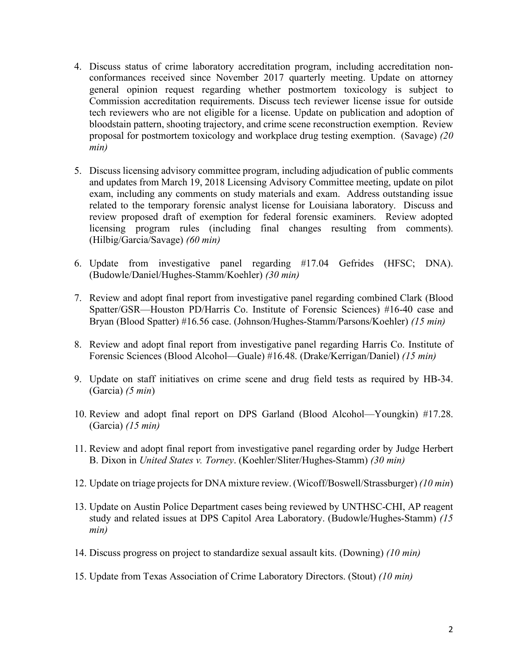- 4. Discuss status of crime laboratory accreditation program, including accreditation nonconformances received since November 2017 quarterly meeting. Update on attorney general opinion request regarding whether postmortem toxicology is subject to Commission accreditation requirements. Discuss tech reviewer license issue for outside tech reviewers who are not eligible for a license. Update on publication and adoption of bloodstain pattern, shooting trajectory, and crime scene reconstruction exemption. Review proposal for postmortem toxicology and workplace drug testing exemption. (Savage) *(20 min)*
- 5. Discuss licensing advisory committee program, including adjudication of public comments and updates from March 19, 2018 Licensing Advisory Committee meeting, update on pilot exam, including any comments on study materials and exam. Address outstanding issue related to the temporary forensic analyst license for Louisiana laboratory. Discuss and review proposed draft of exemption for federal forensic examiners. Review adopted licensing program rules (including final changes resulting from comments). (Hilbig/Garcia/Savage) *(60 min)*
- 6. Update from investigative panel regarding #17.04 Gefrides (HFSC; DNA). (Budowle/Daniel/Hughes-Stamm/Koehler) *(30 min)*
- 7. Review and adopt final report from investigative panel regarding combined Clark (Blood Spatter/GSR—Houston PD/Harris Co. Institute of Forensic Sciences) #16-40 case and Bryan (Blood Spatter) #16.56 case. (Johnson/Hughes-Stamm/Parsons/Koehler) *(15 min)*
- 8. Review and adopt final report from investigative panel regarding Harris Co. Institute of Forensic Sciences (Blood Alcohol—Guale) #16.48. (Drake/Kerrigan/Daniel) *(15 min)*
- 9. Update on staff initiatives on crime scene and drug field tests as required by HB-34. (Garcia) *(5 min*)
- 10. Review and adopt final report on DPS Garland (Blood Alcohol—Youngkin) #17.28. (Garcia) *(15 min)*
- 11. Review and adopt final report from investigative panel regarding order by Judge Herbert B. Dixon in *United States v. Torney*. (Koehler/Sliter/Hughes-Stamm) *(30 min)*
- 12. Update on triage projectsfor DNA mixture review. (Wicoff/Boswell/Strassburger) *(10 min*)
- 13. Update on Austin Police Department cases being reviewed by UNTHSC-CHI, AP reagent study and related issues at DPS Capitol Area Laboratory. (Budowle/Hughes-Stamm) *(15 min)*
- 14. Discuss progress on project to standardize sexual assault kits. (Downing) *(10 min)*
- 15. Update from Texas Association of Crime Laboratory Directors. (Stout) *(10 min)*